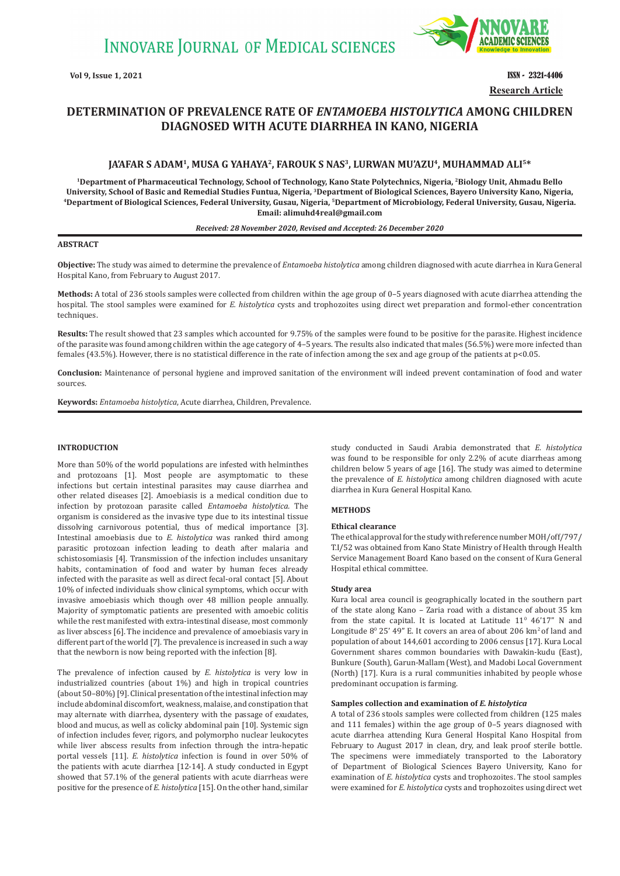

**Vol 9, Issue 1, 2021 ISSN - 2321-4406 Research Article**

# **DETERMINATION OF PREVALENCE RATE OF** *ENTAMOEBA HISTOLYTICA* **AMONG CHILDREN DIAGNOSED WITH ACUTE DIARRHEA IN KANO, NIGERIA**

# **JA'AFAR S ADAM1, MUSA G YAHAYA2, FAROUK S NAS3, LURWAN MU'AZU4, MUHAMMAD ALI5\***

**1Department of Pharmaceutical Technology, School of Technology, Kano State Polytechnics, Nigeria, 2Biology Unit, Ahmadu Bello**  University, School of Basic and Remedial Studies Funtua, Nigeria, <sup>3</sup>Department of Biological Sciences, Bayero University Kano, Nigeria, <sup>4</sup>Department of Biological Sciences, Federal University Kano, Nigeria. **Email: alimuhd4real@gmail.com**

### *Received: 28 November 2020, Revised and Accepted: 26 December 2020*

### **ABSTRACT**

**Objective:** The study was aimed to determine the prevalence of *Entamoeba histolytica* among children diagnosed with acute diarrhea in Kura General Hospital Kano, from February to August 2017.

**Methods:** A total of 236 stools samples were collected from children within the age group of 0–5 years diagnosed with acute diarrhea attending the hospital. The stool samples were examined for *E. histolytica* cysts and trophozoites using direct wet preparation and formol-ether concentration techniques.

**Results:** The result showed that 23 samples which accounted for 9.75% of the samples were found to be positive for the parasite. Highest incidence of the parasite was found among children within the age category of 4–5 years. The results also indicated that males (56.5%) were more infected than females (43.5%). However, there is no statistical difference in the rate of infection among the sex and age group of the patients at p<0.05.

**Conclusion:** Maintenance of personal hygiene and improved sanitation of the environment will indeed prevent contamination of food and water sources.

**Keywords:** *Entamoeba histolytica*, Acute diarrhea, Children, Prevalence.

# **INTRODUCTION**

More than 50% of the world populations are infested with helminthes and protozoans [1]. Most people are asymptomatic to these infections but certain intestinal parasites may cause diarrhea and other related diseases [2]. Amoebiasis is a medical condition due to infection by protozoan parasite called *Entamoeba histolytica.* The organism is considered as the invasive type due to its intestinal tissue dissolving carnivorous potential, thus of medical importance [3]. Intestinal amoebiasis due to *E. histolytica* was ranked third among parasitic protozoan infection leading to death after malaria and schistosomiasis [4]. Transmission of the infection includes unsanitary habits, contamination of food and water by human feces already infected with the parasite as well as direct fecal-oral contact [5]. About 10% of infected individuals show clinical symptoms, which occur with invasive amoebiasis which though over 48 million people annually. Majority of symptomatic patients are presented with amoebic colitis while the rest manifested with extra-intestinal disease, most commonly as liver abscess [6]. The incidence and prevalence of amoebiasis vary in different part of the world [7]. The prevalence is increased in such a way that the newborn is now being reported with the infection [8].

The prevalence of infection caused by *E. histolytica* is very low in industrialized countries (about 1%) and high in tropical countries (about 50–80%) [9]. Clinical presentation of the intestinal infection may include abdominal discomfort, weakness, malaise, and constipation that may alternate with diarrhea, dysentery with the passage of exudates, blood and mucus, as well as colicky abdominal pain [10]. Systemic sign of infection includes fever, rigors, and polymorpho nuclear leukocytes while liver abscess results from infection through the intra-hepatic portal vessels [11]. *E. histolytica* infection is found in over 50% of the patients with acute diarrhea [12-14]. A study conducted in Egypt showed that 57.1% of the general patients with acute diarrheas were positive for the presence of *E. histolytica* [15]. On the other hand, similar

study conducted in Saudi Arabia demonstrated that *E. histolytica*  was found to be responsible for only 2.2% of acute diarrheas among children below 5 years of age [16]. The study was aimed to determine the prevalence of *E. histolytica* among children diagnosed with acute diarrhea in Kura General Hospital Kano.

# **METHODS**

# **Ethical clearance**

The ethical approval for the study with reference number MOH/off/797/ T.I/52 was obtained from Kano State Ministry of Health through Health Service Management Board Kano based on the consent of Kura General Hospital ethical committee.

#### **Study area**

Kura local area council is geographically located in the southern part of the state along Kano – Zaria road with a distance of about 35 km from the state capital. It is located at Latitude  $11^{\circ}$  46'17" N and Longitude  $8^{\circ}$  25' 49" E. It covers an area of about 206 km<sup>2</sup> of land and population of about 144,601 according to 2006 census [17]. Kura Local Government shares common boundaries with Dawakin-kudu (East), Bunkure (South), Garun-Mallam (West), and Madobi Local Government (North) [17]. Kura is a rural communities inhabited by people whose predominant occupation is farming.

# **Samples collection and examination of** *E. histolytica*

A total of 236 stools samples were collected from children (125 males and 111 females) within the age group of 0–5 years diagnosed with acute diarrhea attending Kura General Hospital Kano Hospital from February to August 2017 in clean, dry, and leak proof sterile bottle. The specimens were immediately transported to the Laboratory of Department of Biological Sciences Bayero University, Kano for examination of *E. histolytica* cysts and trophozoites. The stool samples were examined for *E. histolytica* cysts and trophozoites using direct wet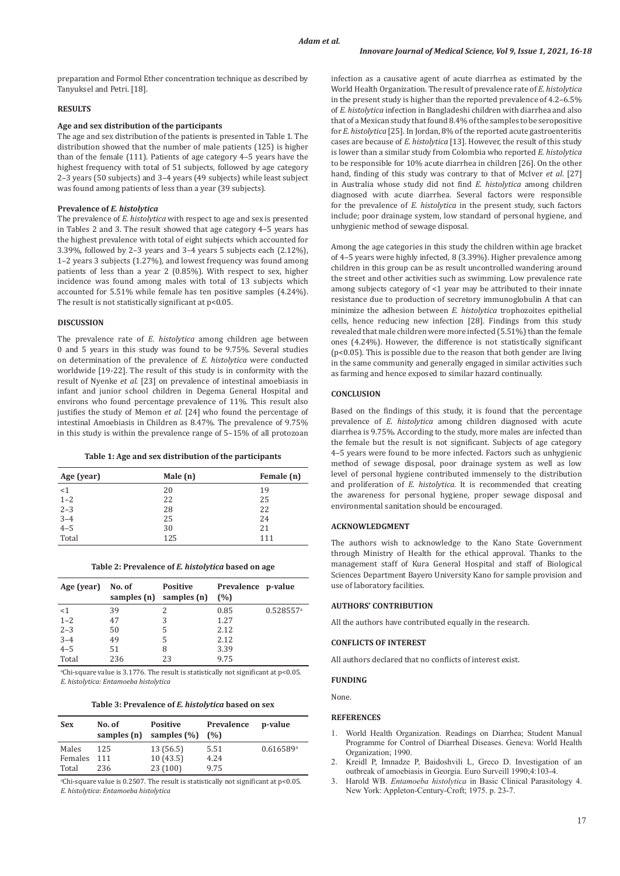preparation and Formol Ether concentration technique as described by Tanyuksel and Petri. [18].

# **RESULTS**

# **Age and sex distribution of the participants**

The age and sex distribution of the patients is presented in Table 1. The distribution showed that the number of male patients (125) is higher than of the female (111). Patients of age category 4–5 years have the highest frequency with total of 51 subjects, followed by age category 2–3 years (50 subjects) and 3–4 years (49 subjects) while least subject was found among patients of less than a year (39 subjects).

# **Prevalence of** *E. histolytica*

The prevalence of *E. histolytica* with respect to age and sex is presented in Tables 2 and 3. The result showed that age category 4–5 years has the highest prevalence with total of eight subjects which accounted for 3.39%, followed by 2–3 years and 3–4 years 5 subjects each (2.12%), 1–2 years 3 subjects (1.27%), and lowest frequency was found among patients of less than a year 2 (0.85%). With respect to sex, higher incidence was found among males with total of 13 subjects which accounted for 5.51% while female has ten positive samples (4.24%). The result is not statistically significant at p<0.05.

#### **DISCUSSION**

The prevalence rate of *E. histolytica* among children age between 0 and 5 years in this study was found to be 9.75%. Several studies on determination of the prevalence of *E. histolytica* were conducted worldwide [19-22]. The result of this study is in conformity with the result of Nyenke *et al*. [23] on prevalence of intestinal amoebiasis in infant and junior school children in Degema General Hospital and environs who found percentage prevalence of 11%. This result also justifies the study of Memon *et al*. [24] who found the percentage of intestinal Amoebiasis in Children as 8.47%. The prevalence of 9.75% in this study is within the prevalence range of 5–15% of all protozoan

### **Table 1: Age and sex distribution of the participants**

| Age (year) | Male (n) | Female (n) |
|------------|----------|------------|
| <1         | 20       | 19         |
| $1 - 2$    | 22       | 25         |
| $2 - 3$    | 28       | 22         |
| $3 - 4$    | 25       | 24         |
| $4 - 5$    | 30       | 21         |
| Total      | 125      | 111        |

| Age (year) | No. of<br>samples (n) | <b>Positive</b><br>samples (n) | Prevalence p-value<br>(%) |                         |
|------------|-----------------------|--------------------------------|---------------------------|-------------------------|
| $<$ 1      | 39                    |                                | 0.85                      | $0.528557$ <sup>a</sup> |
| $1 - 2$    | 47                    | 3                              | 1.27                      |                         |
| $2 - 3$    | 50                    | 5                              | 2.12                      |                         |
| $3 - 4$    | 49                    | 5                              | 2.12                      |                         |
| $4 - 5$    | 51                    | 8                              | 3.39                      |                         |
| Total      | 236                   | 23                             | 9.75                      |                         |

a Chi-square value is 3.1776. The result is statistically not significant at p<0.05. *E. histolytica: Entamoeba histolytica*

**Table 3: Prevalence of** *E. histolytica* **based on sex**

| <b>Sex</b> | No. of<br>samples (n) | <b>Positive</b><br>samples $(\% )$ | Prevalence<br>(%) | p-value   |
|------------|-----------------------|------------------------------------|-------------------|-----------|
| Males      | 125                   | 13(56.5)                           | 5.51              | 0.616589a |
| Females    | 111                   | 10(43.5)                           | 4.24              |           |
| Total      | 236                   | 23 (100)                           | 9.75              |           |

a Chi-square value is 0.2507. The result is statistically not significant at p<0.05. *E. histolytica*: *Entamoeba histolytica*

infection as a causative agent of acute diarrhea as estimated by the World Health Organization. The result of prevalence rate of *E. histolytica* in the present study is higher than the reported prevalence of 4.2–6.5% of *E. histolytica* infection in Bangladeshi children with diarrhea and also that of a Mexican study that found 8.4% of the samples to be seropositive for *E. histolytica* [25]. In Jordan, 8% of the reported acute gastroenteritis cases are because of *E. histolytica* [13]. However, the result of this study is lower than a similar study from Colombia who reported *E. histolytica* to be responsible for 10% acute diarrhea in children [26]. On the other hand, finding of this study was contrary to that of McIver *et al*. [27] in Australia whose study did not find *E. histolytica* among children diagnosed with acute diarrhea. Several factors were responsible for the prevalence of *E. histolytica* in the present study, such factors include; poor drainage system, low standard of personal hygiene, and unhygienic method of sewage disposal.

Among the age categories in this study the children within age bracket of 4–5 years were highly infected, 8 (3.39%). Higher prevalence among children in this group can be as result uncontrolled wandering around the street and other activities such as swimming. Low prevalence rate among subjects category of <1 year may be attributed to their innate resistance due to production of secretory immunoglobulin A that can minimize the adhesion between *E. histolytica* trophozoites epithelial cells, hence reducing new infection [28]. Findings from this study revealed that male children were more infected (5.51%) than the female ones (4.24%). However, the difference is not statistically significant (p<0.05). This is possible due to the reason that both gender are living in the same community and generally engaged in similar activities such as farming and hence exposed to similar hazard continually.

# **CONCLUSION**

Based on the findings of this study, it is found that the percentage prevalence of *E. histolytica* among children diagnosed with acute diarrhea is 9.75%. According to the study, more males are infected than the female but the result is not significant. Subjects of age category 4–5 years were found to be more infected. Factors such as unhygienic method of sewage disposal, poor drainage system as well as low level of personal hygiene contributed immensely to the distribution and proliferation of *E. histolytica.* It is recommended that creating the awareness for personal hygiene, proper sewage disposal and environmental sanitation should be encouraged.

#### **ACKNOWLEDGMENT**

The authors wish to acknowledge to the Kano State Government through Ministry of Health for the ethical approval. Thanks to the management staff of Kura General Hospital and staff of Biological Sciences Department Bayero University Kano for sample provision and use of laboratory facilities.

# **AUTHORS' CONTRIBUTION**

All the authors have contributed equally in the research.

### **CONFLICTS OF INTEREST**

All authors declared that no conflicts of interest exist.

#### **FUNDING**

None.

#### **REFERENCES**

- 1. World Health Organization. Readings on Diarrhea; Student Manual Programme for Control of Diarrheal Diseases. Geneva: World Health Organization; 1990.
- 2. Kreidl P, Imnadze P, Baidoshvili L, Greco D. Investigation of an outbreak of amoebiasis in Georgia. Euro Surveill 1990;4:103-4.
- 3. Harold WB. *Entamoeba histolytica* in Basic Clinical Parasitology 4. New York: Appleton-Century-Croft; 1975. p. 23-7.